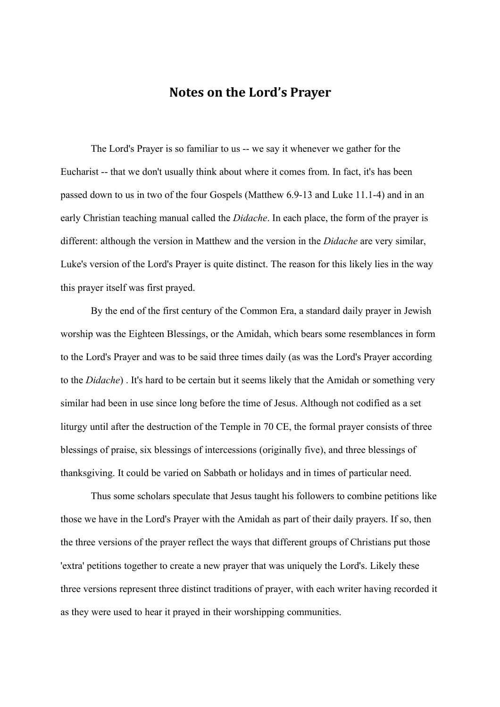# **Notes on the Lord's Prayer**

The Lord's Prayer is so familiar to us -- we say it whenever we gather for the Eucharist -- that we don't usually think about where it comes from. In fact, it's has been passed down to us in two of the four Gospels (Matthew 6.9-13 and Luke 11.1-4) and in an early Christian teaching manual called the *Didache*. In each place, the form of the prayer is different: although the version in Matthew and the version in the *Didache* are very similar, Luke's version of the Lord's Prayer is quite distinct. The reason for this likely lies in the way this prayer itself was first prayed.

By the end of the first century of the Common Era, a standard daily prayer in Jewish worship was the Eighteen Blessings, or the Amidah, which bears some resemblances in form to the Lord's Prayer and was to be said three times daily (as was the Lord's Prayer according to the *Didache*) . It's hard to be certain but it seems likely that the Amidah or something very similar had been in use since long before the time of Jesus. Although not codified as a set liturgy until after the destruction of the Temple in 70 CE, the formal prayer consists of three blessings of praise, six blessings of intercessions (originally five), and three blessings of thanksgiving. It could be varied on Sabbath or holidays and in times of particular need.

Thus some scholars speculate that Jesus taught his followers to combine petitions like those we have in the Lord's Prayer with the Amidah as part of their daily prayers. If so, then the three versions of the prayer reflect the ways that different groups of Christians put those 'extra' petitions together to create a new prayer that was uniquely the Lord's. Likely these three versions represent three distinct traditions of prayer, with each writer having recorded it as they were used to hear it prayed in their worshipping communities.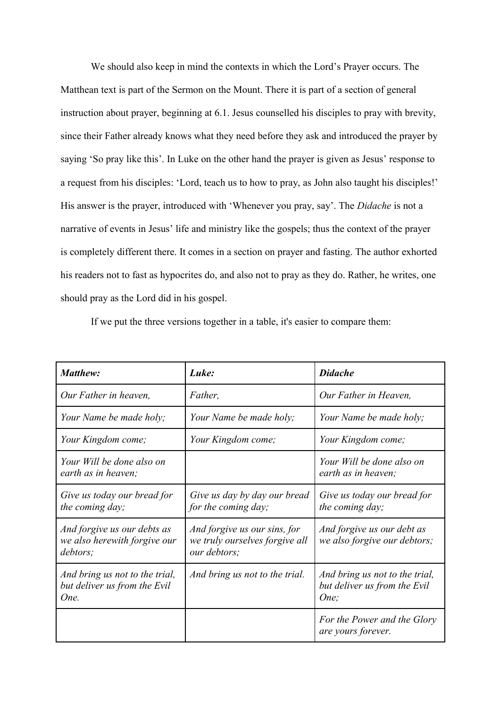We should also keep in mind the contexts in which the Lord's Prayer occurs. The Matthean text is part of the Sermon on the Mount. There it is part of a section of general instruction about prayer, beginning at 6.1. Jesus counselled his disciples to pray with brevity, since their Father already knows what they need before they ask and introduced the prayer by saying 'So pray like this'. In Luke on the other hand the prayer is given as Jesus' response to a request from his disciples: 'Lord, teach us to how to pray, as John also taught his disciples!' His answer is the prayer, introduced with 'Whenever you pray, say'. The *Didache* is not a narrative of events in Jesus' life and ministry like the gospels; thus the context of the prayer is completely different there. It comes in a section on prayer and fasting. The author exhorted his readers not to fast as hypocrites do, and also not to pray as they do. Rather, he writes, one should pray as the Lord did in his gospel.

If we put the three versions together in a table, it's easier to compare them:

| <b>Matthew:</b>                                                         | Luke:                                                                          | <b>Didache</b>                                                         |  |
|-------------------------------------------------------------------------|--------------------------------------------------------------------------------|------------------------------------------------------------------------|--|
| Our Father in heaven,                                                   | Father,                                                                        | Our Father in Heaven,                                                  |  |
| Your Name be made holy;                                                 | Your Name be made holy;                                                        | Your Name be made holy;                                                |  |
| Your Kingdom come;                                                      | Your Kingdom come;                                                             | Your Kingdom come;                                                     |  |
| Your Will be done also on<br>earth as in heaven;                        |                                                                                | Your Will be done also on<br>earth as in heaven;                       |  |
| Give us today our bread for<br>the coming day;                          | Give us day by day our bread<br>for the coming day;                            | Give us today our bread for<br>the coming day;                         |  |
| And forgive us our debts as<br>we also herewith forgive our<br>debtors; | And forgive us our sins, for<br>we truly ourselves forgive all<br>our debtors; | And forgive us our debt as<br>we also forgive our debtors;             |  |
| And bring us not to the trial,<br>but deliver us from the Evil<br>One.  | And bring us not to the trial.                                                 | And bring us not to the trial,<br>but deliver us from the Evil<br>One; |  |
|                                                                         |                                                                                | For the Power and the Glory<br>are yours forever.                      |  |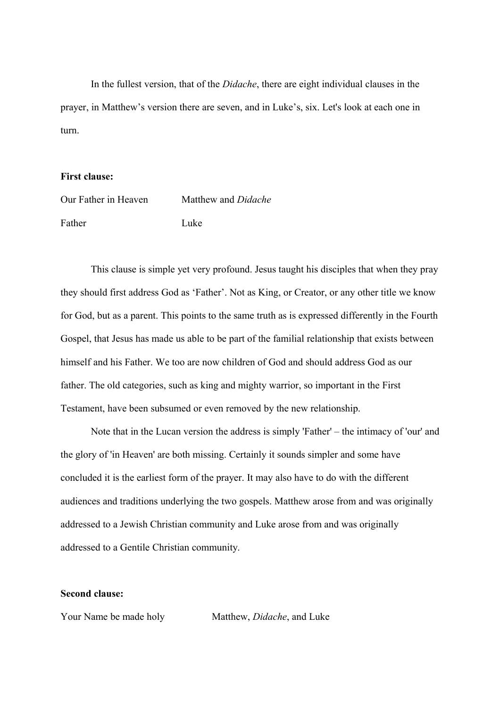In the fullest version, that of the *Didache*, there are eight individual clauses in the prayer, in Matthew's version there are seven, and in Luke's, six. Let's look at each one in turn.

#### **First clause:**

| Our Father in Heaven | Matthew and <i>Didache</i> |
|----------------------|----------------------------|
| Father               | Luke.                      |

This clause is simple yet very profound. Jesus taught his disciples that when they pray they should first address God as 'Father'. Not as King, or Creator, or any other title we know for God, but as a parent. This points to the same truth as is expressed differently in the Fourth Gospel, that Jesus has made us able to be part of the familial relationship that exists between himself and his Father. We too are now children of God and should address God as our father. The old categories, such as king and mighty warrior, so important in the First Testament, have been subsumed or even removed by the new relationship.

Note that in the Lucan version the address is simply 'Father' – the intimacy of 'our' and the glory of 'in Heaven' are both missing. Certainly it sounds simpler and some have concluded it is the earliest form of the prayer. It may also have to do with the different audiences and traditions underlying the two gospels. Matthew arose from and was originally addressed to a Jewish Christian community and Luke arose from and was originally addressed to a Gentile Christian community.

## **Second clause:**

Your Name be made holy Matthew, *Didache*, and Luke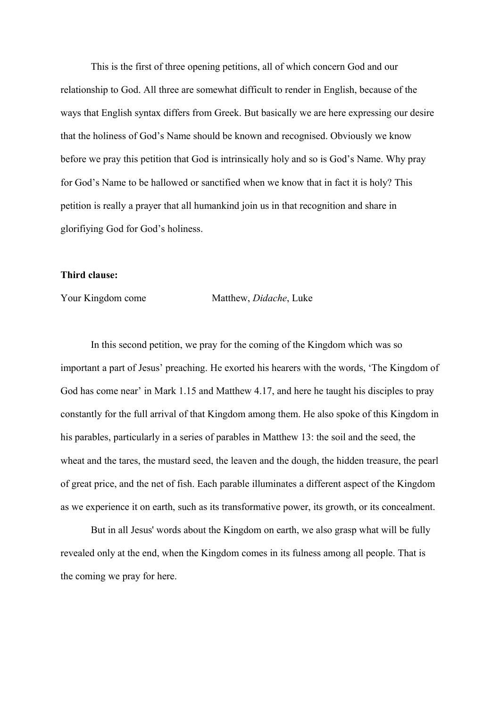This is the first of three opening petitions, all of which concern God and our relationship to God. All three are somewhat difficult to render in English, because of the ways that English syntax differs from Greek. But basically we are here expressing our desire that the holiness of God's Name should be known and recognised. Obviously we know before we pray this petition that God is intrinsically holy and so is God's Name. Why pray for God's Name to be hallowed or sanctified when we know that in fact it is holy? This petition is really a prayer that all humankind join us in that recognition and share in glorifiying God for God's holiness.

## **Third clause:**

Your Kingdom come Matthew, *Didache*, Luke

In this second petition, we pray for the coming of the Kingdom which was so important a part of Jesus' preaching. He exorted his hearers with the words, 'The Kingdom of God has come near' in Mark 1.15 and Matthew 4.17, and here he taught his disciples to pray constantly for the full arrival of that Kingdom among them. He also spoke of this Kingdom in his parables, particularly in a series of parables in Matthew 13: the soil and the seed, the wheat and the tares, the mustard seed, the leaven and the dough, the hidden treasure, the pearl of great price, and the net of fish. Each parable illuminates a different aspect of the Kingdom as we experience it on earth, such as its transformative power, its growth, or its concealment.

But in all Jesus' words about the Kingdom on earth, we also grasp what will be fully revealed only at the end, when the Kingdom comes in its fulness among all people. That is the coming we pray for here.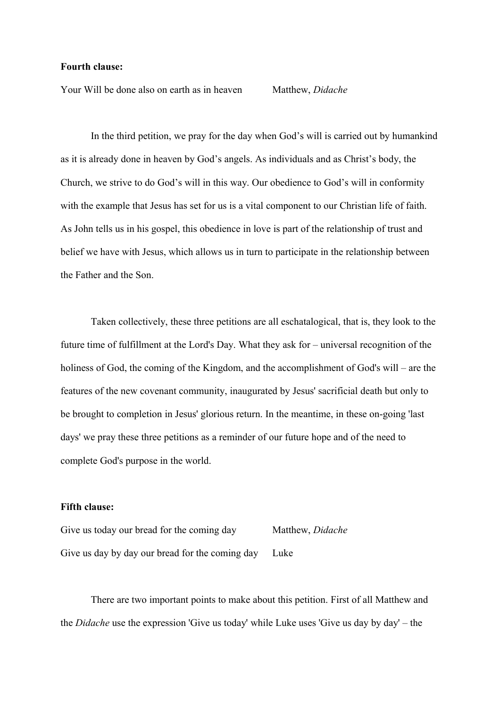#### **Fourth clause:**

Your Will be done also on earth as in heaven Matthew, *Didache*

In the third petition, we pray for the day when God's will is carried out by humankind as it is already done in heaven by God's angels. As individuals and as Christ's body, the Church, we strive to do God's will in this way. Our obedience to God's will in conformity with the example that Jesus has set for us is a vital component to our Christian life of faith. As John tells us in his gospel, this obedience in love is part of the relationship of trust and belief we have with Jesus, which allows us in turn to participate in the relationship between the Father and the Son.

Taken collectively, these three petitions are all eschatalogical, that is, they look to the future time of fulfillment at the Lord's Day. What they ask for – universal recognition of the holiness of God, the coming of the Kingdom, and the accomplishment of God's will – are the features of the new covenant community, inaugurated by Jesus' sacrificial death but only to be brought to completion in Jesus' glorious return. In the meantime, in these on-going 'last days' we pray these three petitions as a reminder of our future hope and of the need to complete God's purpose in the world.

### **Fifth clause:**

Give us today our bread for the coming day Matthew, *Didache* Give us day by day our bread for the coming day Luke

There are two important points to make about this petition. First of all Matthew and the *Didache* use the expression 'Give us today' while Luke uses 'Give us day by day' – the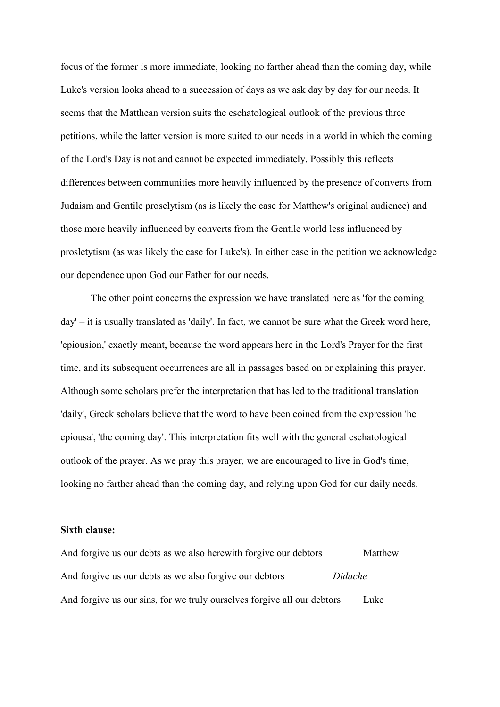focus of the former is more immediate, looking no farther ahead than the coming day, while Luke's version looks ahead to a succession of days as we ask day by day for our needs. It seems that the Matthean version suits the eschatological outlook of the previous three petitions, while the latter version is more suited to our needs in a world in which the coming of the Lord's Day is not and cannot be expected immediately. Possibly this reflects differences between communities more heavily influenced by the presence of converts from Judaism and Gentile proselytism (as is likely the case for Matthew's original audience) and those more heavily influenced by converts from the Gentile world less influenced by prosletytism (as was likely the case for Luke's). In either case in the petition we acknowledge our dependence upon God our Father for our needs.

The other point concerns the expression we have translated here as 'for the coming day' – it is usually translated as 'daily'. In fact, we cannot be sure what the Greek word here, 'epiousion,' exactly meant, because the word appears here in the Lord's Prayer for the first time, and its subsequent occurrences are all in passages based on or explaining this prayer. Although some scholars prefer the interpretation that has led to the traditional translation 'daily', Greek scholars believe that the word to have been coined from the expression 'he epiousa', 'the coming day'. This interpretation fits well with the general eschatological outlook of the prayer. As we pray this prayer, we are encouraged to live in God's time, looking no farther ahead than the coming day, and relying upon God for our daily needs.

## **Sixth clause:**

| And forgive us our debts as we also here with forgive our debtors       | Matthew |
|-------------------------------------------------------------------------|---------|
| And forgive us our debts as we also forgive our debtors                 | Didache |
| And forgive us our sins, for we truly ourselves forgive all our debtors | Luke    |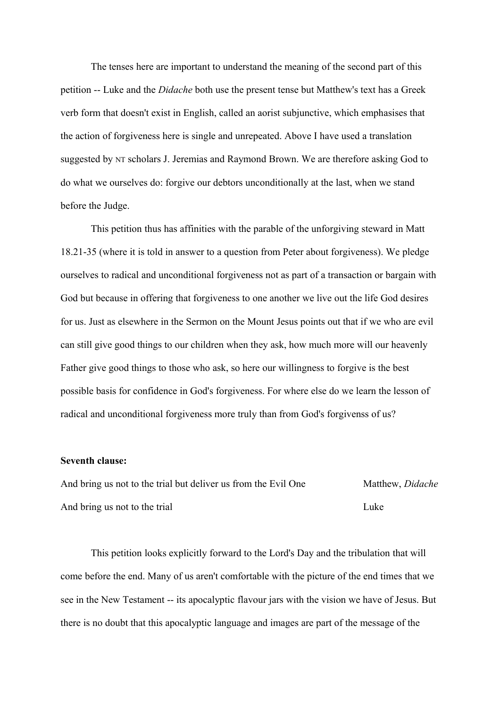The tenses here are important to understand the meaning of the second part of this petition -- Luke and the *Didache* both use the present tense but Matthew's text has a Greek verb form that doesn't exist in English, called an aorist subjunctive, which emphasises that the action of forgiveness here is single and unrepeated. Above I have used a translation suggested by NT scholars J. Jeremias and Raymond Brown. We are therefore asking God to do what we ourselves do: forgive our debtors unconditionally at the last, when we stand before the Judge.

This petition thus has affinities with the parable of the unforgiving steward in Matt 18.21-35 (where it is told in answer to a question from Peter about forgiveness). We pledge ourselves to radical and unconditional forgiveness not as part of a transaction or bargain with God but because in offering that forgiveness to one another we live out the life God desires for us. Just as elsewhere in the Sermon on the Mount Jesus points out that if we who are evil can still give good things to our children when they ask, how much more will our heavenly Father give good things to those who ask, so here our willingness to forgive is the best possible basis for confidence in God's forgiveness. For where else do we learn the lesson of radical and unconditional forgiveness more truly than from God's forgivenss of us?

#### **Seventh clause:**

And bring us not to the trial but deliver us from the Evil One Matthew, *Didache* And bring us not to the trial Luke

This petition looks explicitly forward to the Lord's Day and the tribulation that will come before the end. Many of us aren't comfortable with the picture of the end times that we see in the New Testament -- its apocalyptic flavour jars with the vision we have of Jesus. But there is no doubt that this apocalyptic language and images are part of the message of the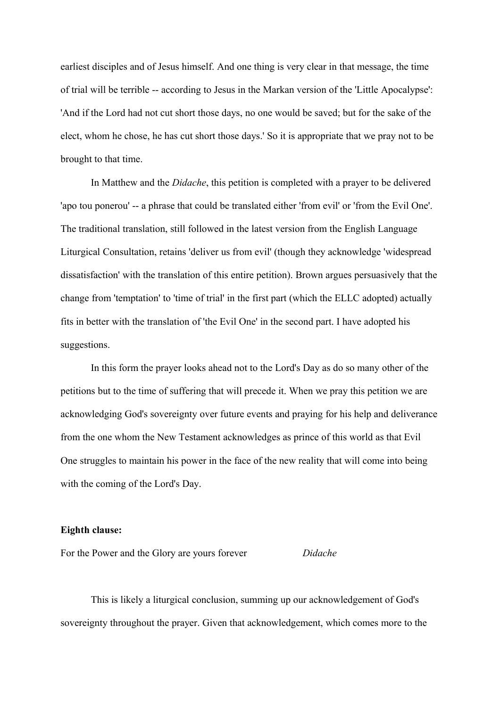earliest disciples and of Jesus himself. And one thing is very clear in that message, the time of trial will be terrible -- according to Jesus in the Markan version of the 'Little Apocalypse': 'And if the Lord had not cut short those days, no one would be saved; but for the sake of the elect, whom he chose, he has cut short those days.' So it is appropriate that we pray not to be brought to that time.

In Matthew and the *Didache*, this petition is completed with a prayer to be delivered 'apo tou ponerou' -- a phrase that could be translated either 'from evil' or 'from the Evil One'. The traditional translation, still followed in the latest version from the English Language Liturgical Consultation, retains 'deliver us from evil' (though they acknowledge 'widespread dissatisfaction' with the translation of this entire petition). Brown argues persuasively that the change from 'temptation' to 'time of trial' in the first part (which the ELLC adopted) actually fits in better with the translation of 'the Evil One' in the second part. I have adopted his suggestions.

In this form the prayer looks ahead not to the Lord's Day as do so many other of the petitions but to the time of suffering that will precede it. When we pray this petition we are acknowledging God's sovereignty over future events and praying for his help and deliverance from the one whom the New Testament acknowledges as prince of this world as that Evil One struggles to maintain his power in the face of the new reality that will come into being with the coming of the Lord's Day.

#### **Eighth clause:**

For the Power and the Glory are yours forever *Didache*

This is likely a liturgical conclusion, summing up our acknowledgement of God's sovereignty throughout the prayer. Given that acknowledgement, which comes more to the